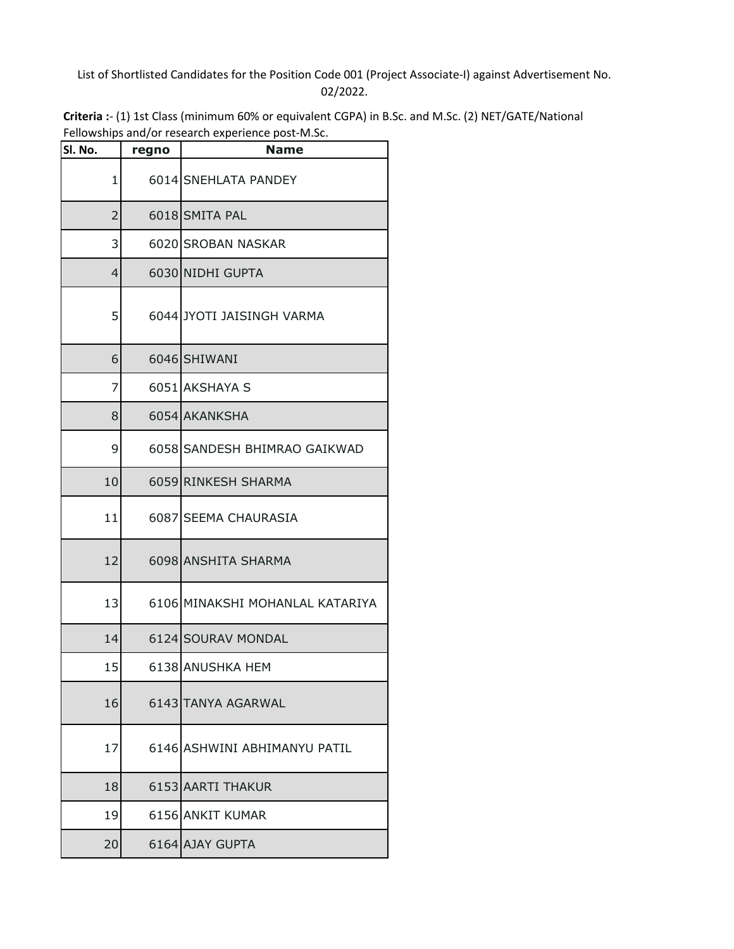## List of Shortlisted Candidates for the Position Code 001 (Project Associate-I) against Advertisement No. 02/2022.

| Criteria :- (1) 1st Class (minimum 60% or equivalent CGPA) in B.Sc. and M.Sc. (2) NET/GATE/National |
|-----------------------------------------------------------------------------------------------------|
| Fellowships and/or research experience post-M.Sc.                                                   |

| Sl. No.        | regno | renowships anapor research experience post imise.<br><b>Name</b> |
|----------------|-------|------------------------------------------------------------------|
| 1              |       | 6014 SNEHLATA PANDEY                                             |
| $\overline{2}$ |       | 6018 SMITA PAL                                                   |
| 3              |       | 6020 SROBAN NASKAR                                               |
| 4              |       | 6030 NIDHI GUPTA                                                 |
| 5              |       | 6044 JYOTI JAISINGH VARMA                                        |
| 6              |       | 6046 SHIWANI                                                     |
| 7              |       | 6051 AKSHAYA S                                                   |
| 8              |       | 6054 AKANKSHA                                                    |
| 9              |       | 6058 SANDESH BHIMRAO GAIKWAD                                     |
| 10             |       | 6059 RINKESH SHARMA                                              |
| 11             |       | 6087 SEEMA CHAURASIA                                             |
| 12             |       | 6098 ANSHITA SHARMA                                              |
| 13             |       | 6106 MINAKSHI MOHANLAL KATARIYA                                  |
| 14             |       | 6124 SOURAV MONDAL                                               |
| 15             |       | 6138 ANUSHKA HEM                                                 |
| 16             |       | 6143 TANYA AGARWAL                                               |
| 17             |       | 6146 ASHWINI ABHIMANYU PATIL                                     |
| 18             |       | 6153 AARTI THAKUR                                                |
| 19             |       | 6156 ANKIT KUMAR                                                 |
| 20             |       | 6164 AJAY GUPTA                                                  |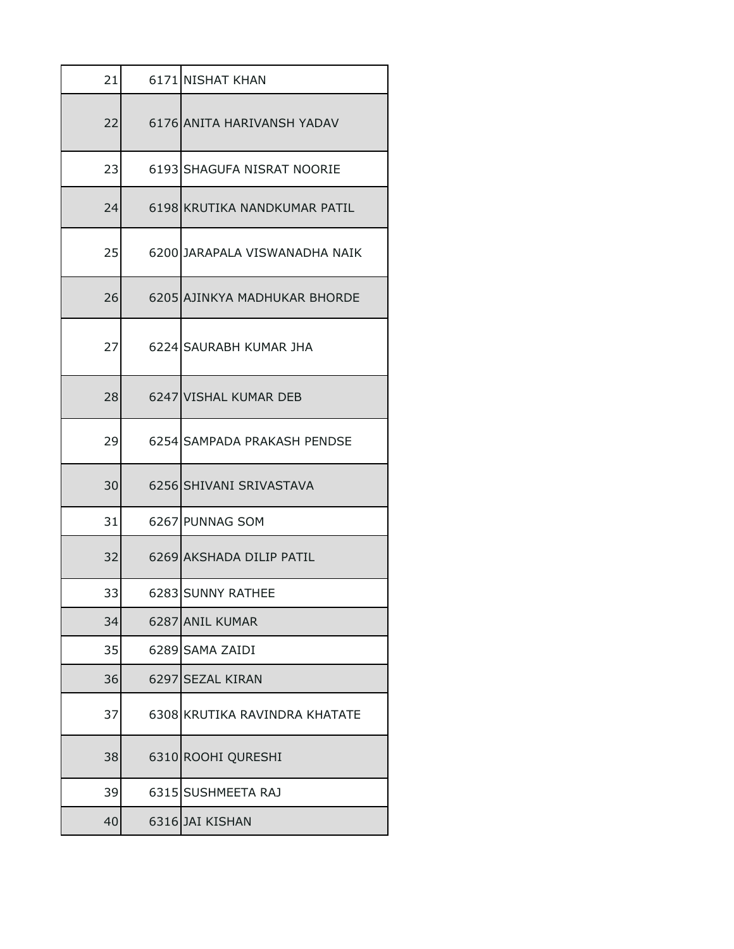| 21 |      | 6171 NISHAT KHAN              |
|----|------|-------------------------------|
| 22 |      | 6176 ANITA HARIVANSH YADAV    |
| 23 |      | 6193 SHAGUFA NISRAT NOORIE    |
| 24 |      | 6198 KRUTIKA NANDKUMAR PATIL  |
| 25 |      | 6200 JARAPALA VISWANADHA NAIK |
| 26 |      | 6205 AJINKYA MADHUKAR BHORDE  |
| 27 |      | 6224 SAURABH KUMAR JHA        |
| 28 |      | 6247 VISHAL KUMAR DEB         |
| 29 |      | 6254 SAMPADA PRAKASH PENDSE   |
| 30 |      | 6256 SHIVANI SRIVASTAVA       |
| 31 |      | 6267 PUNNAG SOM               |
| 32 |      | 6269 AKSHADA DILIP PATIL      |
| 33 |      | 6283 SUNNY RATHEE             |
| 34 | 6287 | <b>ANIL KUMAR</b>             |
| 35 |      | 6289 SAMA ZAIDI               |
| 36 |      | 6297 SEZAL KIRAN              |
| 37 |      | 6308 KRUTIKA RAVINDRA KHATATE |
| 38 |      | 6310 ROOHI QURESHI            |
| 39 |      | 6315 SUSHMEETA RAJ            |
| 40 |      | 6316 JAI KISHAN               |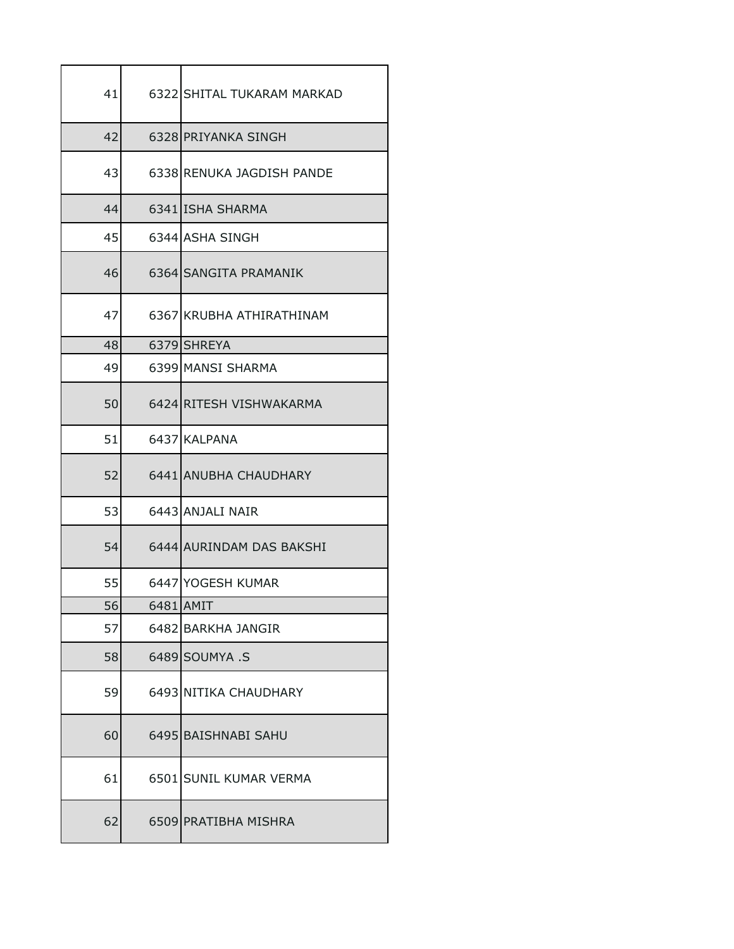| 41 | 6322 SHITAL TUKARAM MARKAD |
|----|----------------------------|
| 42 | 6328 PRIYANKA SINGH        |
| 43 | 6338 RENUKA JAGDISH PANDE  |
| 44 | 6341 ISHA SHARMA           |
| 45 | 6344 ASHA SINGH            |
| 46 | 6364 SANGITA PRAMANIK      |
| 47 | 6367 KRUBHA ATHIRATHINAM   |
| 48 | 6379 SHREYA                |
| 49 | 6399 MANSI SHARMA          |
| 50 | 6424 RITESH VISHWAKARMA    |
| 51 | 6437 KALPANA               |
| 52 | 6441 ANUBHA CHAUDHARY      |
| 53 | 6443 ANJALI NAIR           |
| 54 | 6444 AURINDAM DAS BAKSHI   |
| 55 | 6447 YOGESH KUMAR          |
| 56 | 6481 AMIT                  |
| 57 | 6482 BARKHA JANGIR         |
| 58 | 6489 SOUMYA .S             |
| 59 | 6493 NITIKA CHAUDHARY      |
| 60 | 6495 BAISHNABI SAHU        |
| 61 | 6501 SUNIL KUMAR VERMA     |
| 62 | 6509 PRATIBHA MISHRA       |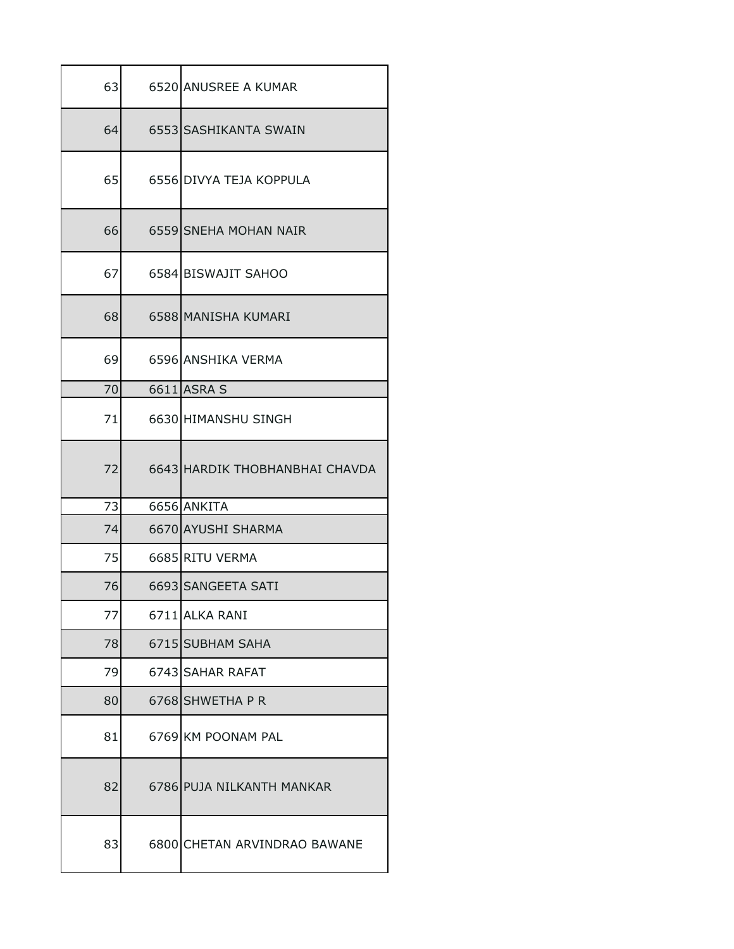| 63 | 6520 ANUSREE A KUMAR           |
|----|--------------------------------|
| 64 | 6553 SASHIKANTA SWAIN          |
| 65 | 6556 DIVYA TEJA KOPPULA        |
| 66 | 6559 SNEHA MOHAN NAIR          |
| 67 | 6584 BISWAJIT SAHOO            |
| 68 | 6588 MANISHA KUMARI            |
| 69 | 6596 ANSHIKA VERMA             |
| 70 | 6611 ASRA S                    |
| 71 | 6630 HIMANSHU SINGH            |
| 72 | 6643 HARDIK THOBHANBHAI CHAVDA |
| 73 | 6656 ANKITA                    |
| 74 | 6670 AYUSHI SHARMA             |
| 75 | 6685 RITU VERMA                |
| 76 | 6693 SANGEETA SATI             |
| 77 | 6711 ALKA RANI                 |
| 78 | 6715 SUBHAM SAHA               |
| 79 | 6743 SAHAR RAFAT               |
| 80 | 6768 SHWETHA P R               |
| 81 | 6769 KM POONAM PAL             |
| 82 | 6786 PUJA NILKANTH MANKAR      |
| 83 | 6800 CHETAN ARVINDRAO BAWANE   |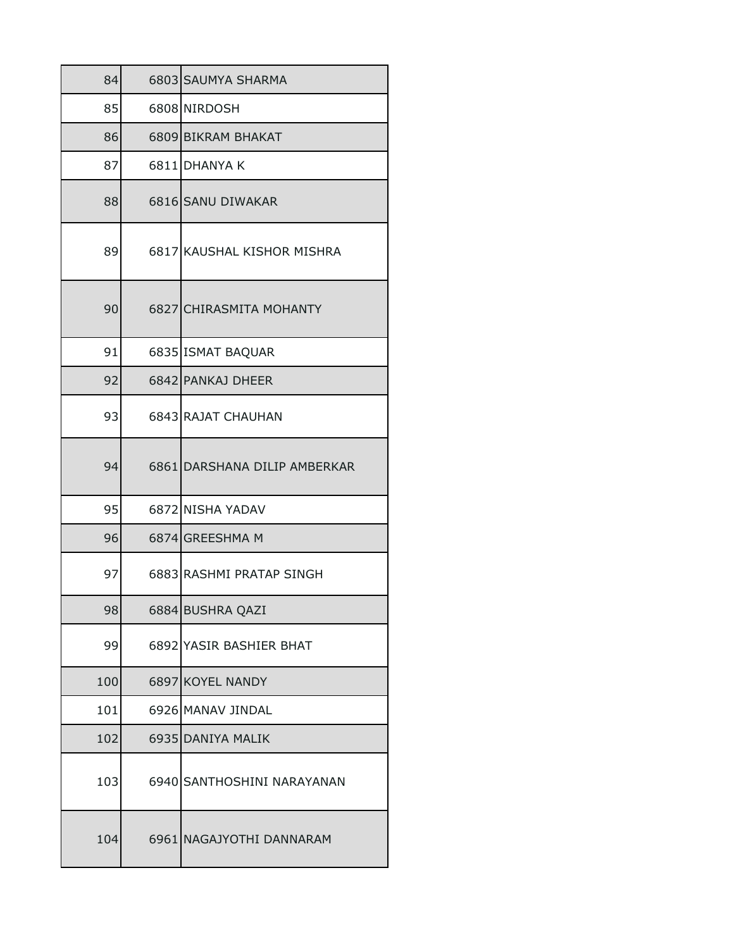| 84  | 6803 SAUMYA SHARMA           |
|-----|------------------------------|
| 85  | 6808 NIRDOSH                 |
| 86  | 6809 BIKRAM BHAKAT           |
| 87  | 6811 DHANYA K                |
| 88  | 6816 SANU DIWAKAR            |
| 89  | 6817 KAUSHAL KISHOR MISHRA   |
| 90  | 6827 CHIRASMITA MOHANTY      |
| 91  | 6835 ISMAT BAQUAR            |
| 92  | 6842 PANKAJ DHEER            |
| 93  | 6843 RAJAT CHAUHAN           |
| 94  | 6861 DARSHANA DILIP AMBERKAR |
| 95  | 6872 NISHA YADAV             |
| 96  | 6874 GREESHMA M              |
| 97  | 6883 RASHMI PRATAP SINGH     |
| 98  | 6884 BUSHRA QAZI             |
| 99  | 6892 YASIR BASHIER BHAT      |
| 100 | 6897 KOYEL NANDY             |
| 101 | 6926 MANAV JINDAL            |
| 102 | 6935 DANIYA MALIK            |
| 103 | 6940 SANTHOSHINI NARAYANAN   |
| 104 | 6961 NAGAJYOTHI DANNARAM     |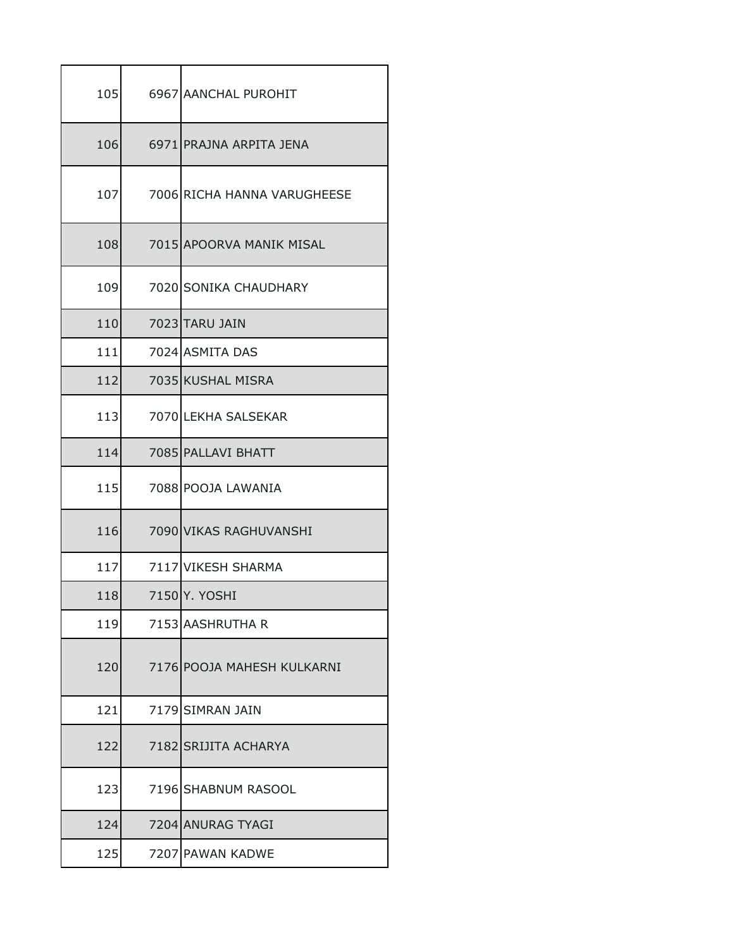| 105 | 6967 AANCHAL PUROHIT        |
|-----|-----------------------------|
| 106 | 6971 PRAJNA ARPITA JENA     |
| 107 | 7006 RICHA HANNA VARUGHEESE |
| 108 | 7015 APOORVA MANIK MISAL    |
| 109 | 7020 SONIKA CHAUDHARY       |
| 110 | 7023 TARU JAIN              |
| 111 | 7024 ASMITA DAS             |
| 112 | 7035 KUSHAL MISRA           |
| 113 | 7070 LEKHA SALSEKAR         |
| 114 | 7085 PALLAVI BHATT          |
| 115 | 7088 POOJA LAWANIA          |
| 116 | 7090 VIKAS RAGHUVANSHI      |
| 117 | 7117 VIKESH SHARMA          |
| 118 | 7150 Y. YOSHI               |
| 119 | 7153 AASHRUTHA R            |
| 120 | 7176 POOJA MAHESH KULKARNI  |
| 121 | 7179 SIMRAN JAIN            |
| 122 | 7182 SRIJITA ACHARYA        |
| 123 | 7196 SHABNUM RASOOL         |
| 124 | 7204 ANURAG TYAGI           |
| 125 | 7207 PAWAN KADWE            |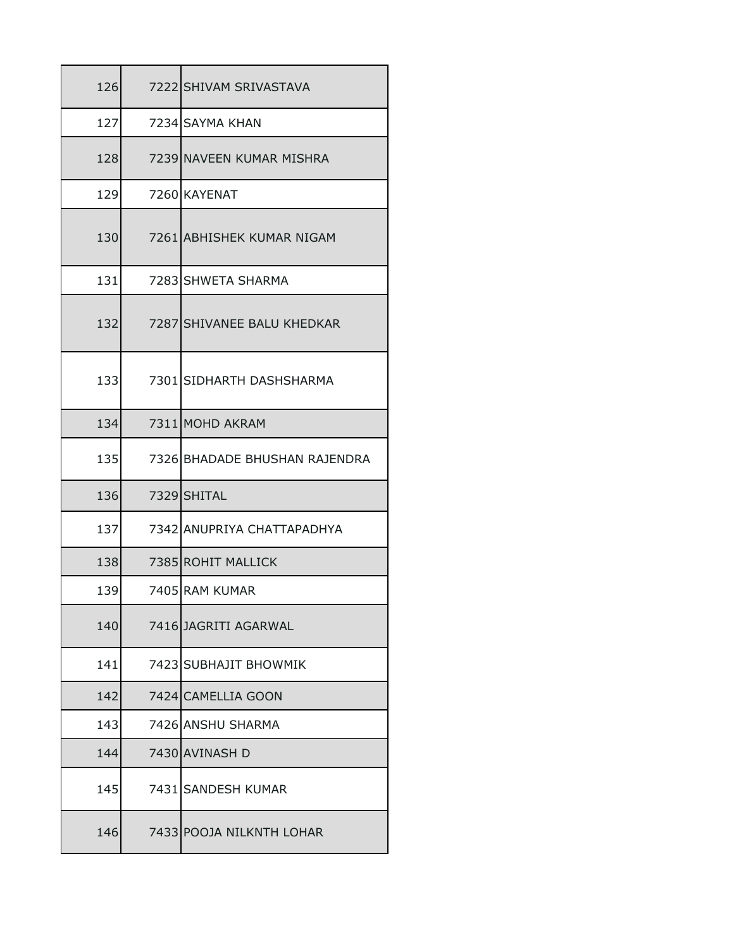| 126 | 7222 SHIVAM SRIVASTAVA        |
|-----|-------------------------------|
| 127 | 7234 SAYMA KHAN               |
| 128 | 7239 NAVEEN KUMAR MISHRA      |
| 129 | 7260 KAYENAT                  |
| 130 | 7261 ABHISHEK KUMAR NIGAM     |
| 131 | 7283 SHWETA SHARMA            |
| 132 | 7287 SHIVANEE BALU KHEDKAR    |
| 133 | 7301 SIDHARTH DASHSHARMA      |
| 134 | 7311 MOHD AKRAM               |
| 135 | 7326 BHADADE BHUSHAN RAJENDRA |
| 136 | 7329 SHITAL                   |
| 137 | 7342 ANUPRIYA CHATTAPADHYA    |
| 138 | 7385 ROHIT MALLICK            |
| 139 | 7405 RAM KUMAR                |
| 140 | 7416 JAGRITI AGARWAL          |
| 141 | 7423 SUBHAJIT BHOWMIK         |
| 142 | 7424 CAMELLIA GOON            |
| 143 | 7426 ANSHU SHARMA             |
| 144 | 7430 AVINASH D                |
| 145 | 7431 SANDESH KUMAR            |
| 146 | 7433 POOJA NILKNTH LOHAR      |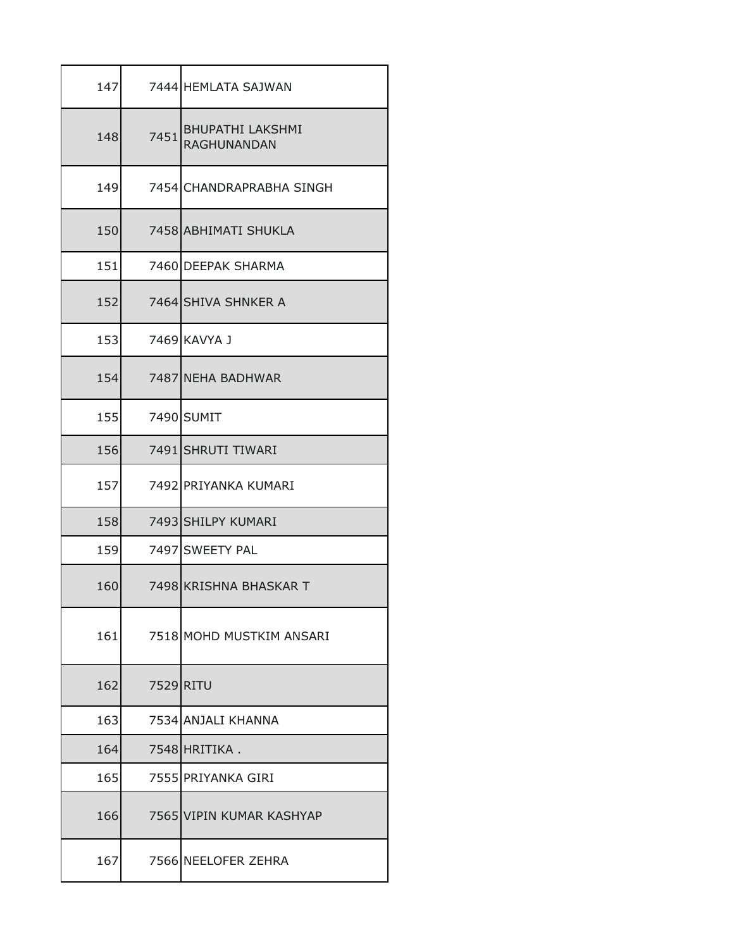| 147 |           | 7444 HEMLATA SAJWAN                           |
|-----|-----------|-----------------------------------------------|
| 148 | 7451      | <b>BHUPATHI LAKSHMI</b><br><b>RAGHUNANDAN</b> |
| 149 |           | 7454 CHANDRAPRABHA SINGH                      |
| 150 |           | 7458 ABHIMATI SHUKLA                          |
| 151 |           | 7460 DEEPAK SHARMA                            |
| 152 |           | 7464 SHIVA SHNKER A                           |
| 153 |           | 7469 KAVYA J                                  |
| 154 |           | 7487 NEHA BADHWAR                             |
| 155 |           | 7490 SUMIT                                    |
| 156 |           | 7491 SHRUTI TIWARI                            |
| 157 |           | 7492 PRIYANKA KUMARI                          |
| 158 |           | 7493 SHILPY KUMARI                            |
| 159 |           | 7497 SWEETY PAL                               |
| 160 |           | 7498 KRISHNA BHASKAR T                        |
| 161 |           | 7518 MOHD MUSTKIM ANSARI                      |
| 162 | 7529 RITU |                                               |
| 163 |           | 7534 ANJALI KHANNA                            |
| 164 |           | 7548 HRITIKA.                                 |
| 165 |           | 7555 PRIYANKA GIRI                            |
| 166 |           | 7565 VIPIN KUMAR KASHYAP                      |
| 167 |           | 7566 NEELOFER ZEHRA                           |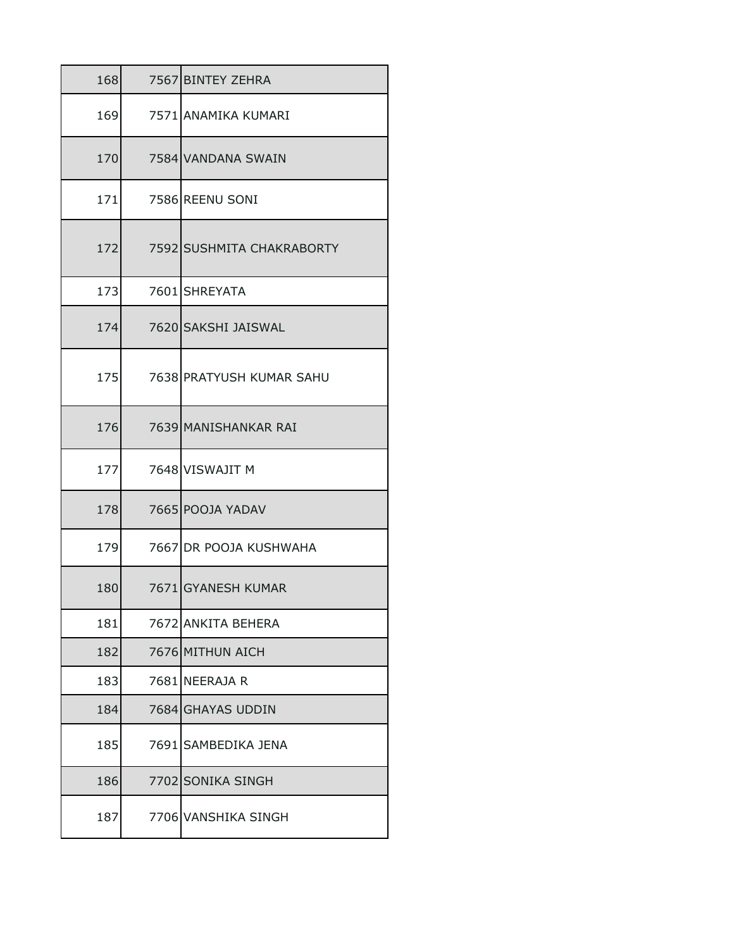| 168 |      | 7567 BINTEY ZEHRA         |
|-----|------|---------------------------|
| 169 |      | 7571 ANAMIKA KUMARI       |
| 170 |      | 7584 VANDANA SWAIN        |
| 171 |      | 7586 REENU SONI           |
| 172 |      | 7592 SUSHMITA CHAKRABORTY |
| 173 |      | 7601 SHREYATA             |
| 174 |      | 7620 SAKSHI JAISWAL       |
| 175 |      | 7638 PRATYUSH KUMAR SAHU  |
| 176 |      | 7639 MANISHANKAR RAI      |
| 177 |      | 7648 VISWAJIT M           |
| 178 |      | 7665 POOJA YADAV          |
| 179 |      | 7667 DR POOJA KUSHWAHA    |
| 180 |      | 7671 GYANESH KUMAR        |
| 181 | 7672 | <b>ANKITA BEHERA</b>      |
| 182 |      | 7676 MITHUN AICH          |
| 183 |      | 7681 NEERAJA R            |
| 184 |      | 7684 GHAYAS UDDIN         |
| 185 | 7691 | SAMBEDIKA JENA            |
| 186 |      | 7702 SONIKA SINGH         |
| 187 |      | 7706 VANSHIKA SINGH       |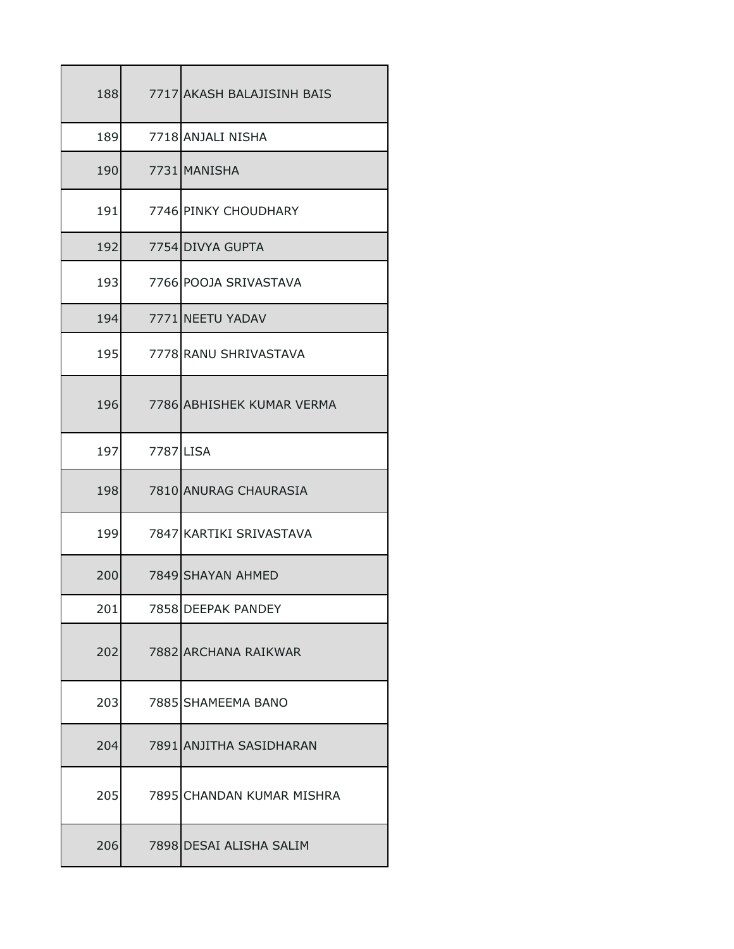| 188 |           | 7717 AKASH BALAJISINH BAIS |
|-----|-----------|----------------------------|
| 189 |           | 7718 ANJALI NISHA          |
| 190 |           | 7731 MANISHA               |
| 191 |           | 7746 PINKY CHOUDHARY       |
| 192 |           | 7754 DIVYA GUPTA           |
| 193 |           | 7766 POOJA SRIVASTAVA      |
| 194 |           | 7771 NEETU YADAV           |
| 195 |           | 7778 RANU SHRIVASTAVA      |
| 196 |           | 7786 ABHISHEK KUMAR VERMA  |
| 197 | 7787 LISA |                            |
| 198 |           | 7810 ANURAG CHAURASIA      |
| 199 |           | 7847 KARTIKI SRIVASTAVA    |
| 200 |           | 7849 SHAYAN AHMED          |
| 201 |           | 7858 DEEPAK PANDEY         |
| 202 |           | 7882 ARCHANA RAIKWAR       |
| 203 |           | 7885 SHAMEEMA BANO         |
| 204 |           | 7891 ANJITHA SASIDHARAN    |
| 205 |           | 7895 CHANDAN KUMAR MISHRA  |
| 206 |           | 7898 DESAI ALISHA SALIM    |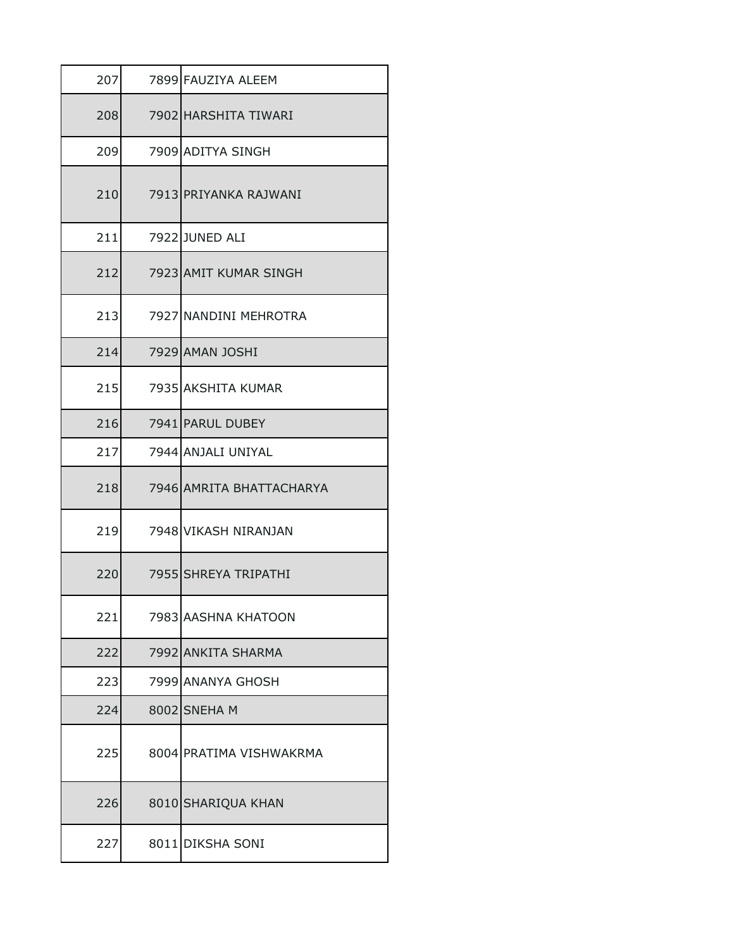| 207 | 7899 FAUZIYA ALEEM       |
|-----|--------------------------|
| 208 | 7902 HARSHITA TIWARI     |
| 209 | 7909 ADITYA SINGH        |
| 210 | 7913 PRIYANKA RAJWANI    |
| 211 | 7922 JUNED ALI           |
| 212 | 7923 AMIT KUMAR SINGH    |
| 213 | 7927 NANDINI MEHROTRA    |
| 214 | 7929 AMAN JOSHI          |
| 215 | 7935 AKSHITA KUMAR       |
| 216 | 7941 PARUL DUBEY         |
| 217 | 7944 ANJALI UNIYAL       |
| 218 | 7946 AMRITA BHATTACHARYA |
| 219 | 7948 VIKASH NIRANJAN     |
| 220 | 7955 SHREYA TRIPATHI     |
| 221 | 7983 AASHNA KHATOON      |
| 222 | 7992 ANKITA SHARMA       |
| 223 | 7999 ANANYA GHOSH        |
| 224 | 8002 SNEHAM              |
| 225 | 8004 PRATIMA VISHWAKRMA  |
| 226 | 8010 SHARIQUA KHAN       |
| 227 | 8011 DIKSHA SONI         |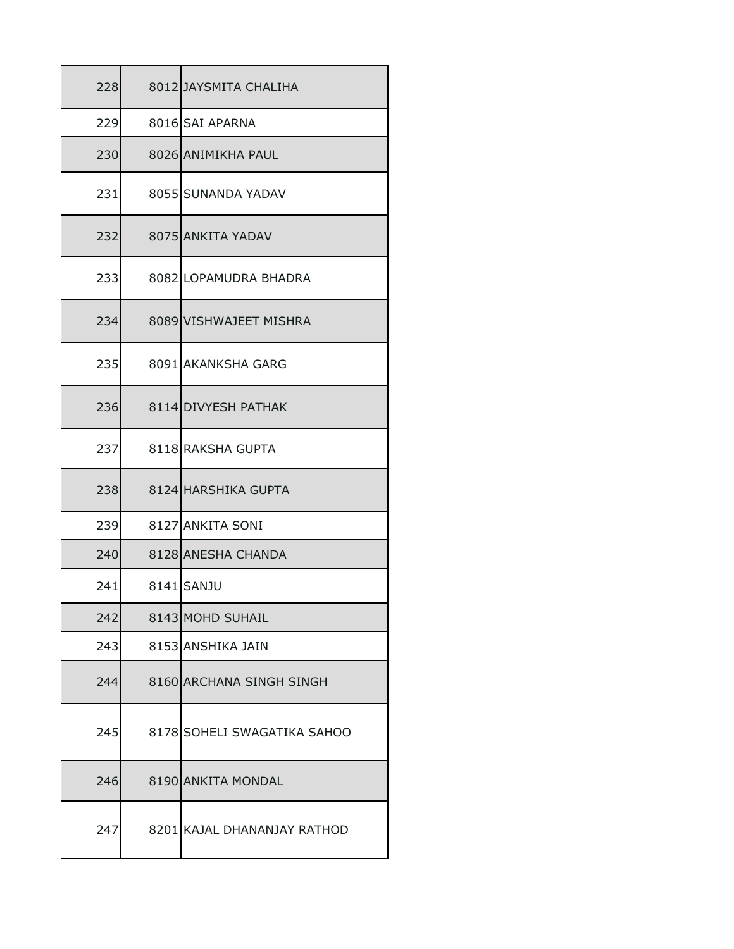| 228 | 8012 JAYSMITA CHALIHA       |
|-----|-----------------------------|
| 229 | 8016 SAI APARNA             |
| 230 | 8026 ANIMIKHA PAUL          |
| 231 | 8055 SUNANDA YADAV          |
| 232 | 8075 ANKITA YADAV           |
| 233 | 8082 LOPAMUDRA BHADRA       |
| 234 | 8089 VISHWAJEET MISHRA      |
| 235 | 8091 AKANKSHA GARG          |
| 236 | 8114 DIVYESH PATHAK         |
| 237 | 8118 RAKSHA GUPTA           |
| 238 | 8124 HARSHIKA GUPTA         |
| 239 | 8127 ANKITA SONI            |
| 240 | 8128 ANESHA CHANDA          |
| 241 | 8141 SANJU                  |
| 242 | 8143 MOHD SUHAIL            |
| 243 | 8153 ANSHIKA JAIN           |
| 244 | 8160 ARCHANA SINGH SINGH    |
| 245 | 8178 SOHELI SWAGATIKA SAHOO |
| 246 | 8190 ANKITA MONDAL          |
| 247 | 8201 KAJAL DHANANJAY RATHOD |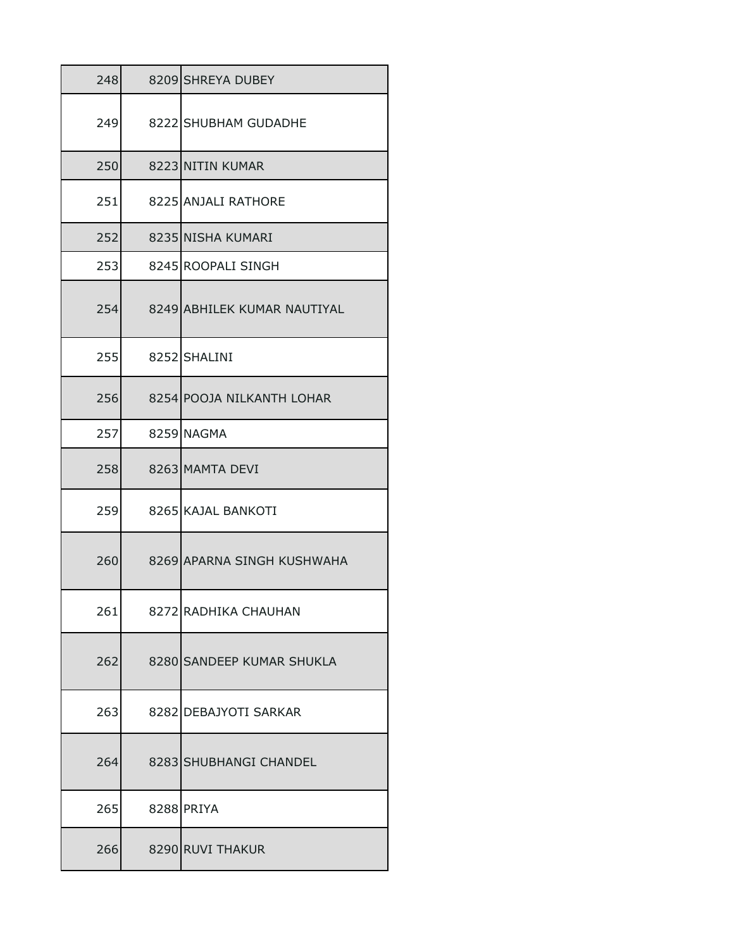| 248 | 8209 SHREYA DUBEY           |
|-----|-----------------------------|
| 249 | 8222 SHUBHAM GUDADHE        |
| 250 | 8223 NITIN KUMAR            |
| 251 | 8225 ANJALI RATHORE         |
| 252 | 8235 NISHA KUMARI           |
| 253 | 8245 ROOPALI SINGH          |
| 254 | 8249 ABHILEK KUMAR NAUTIYAL |
| 255 | 8252 SHALINI                |
| 256 | 8254 POOJA NILKANTH LOHAR   |
| 257 | 8259 NAGMA                  |
| 258 | 8263 MAMTA DEVI             |
| 259 | 8265 KAJAL BANKOTI          |
| 260 | 8269 APARNA SINGH KUSHWAHA  |
| 261 | 8272 RADHIKA CHAUHAN        |
| 262 | 8280 SANDEEP KUMAR SHUKLA   |
| 263 | 8282 DEBAJYOTI SARKAR       |
| 264 | 8283 SHUBHANGI CHANDEL      |
| 265 | 8288 PRIYA                  |
| 266 | 8290 RUVI THAKUR            |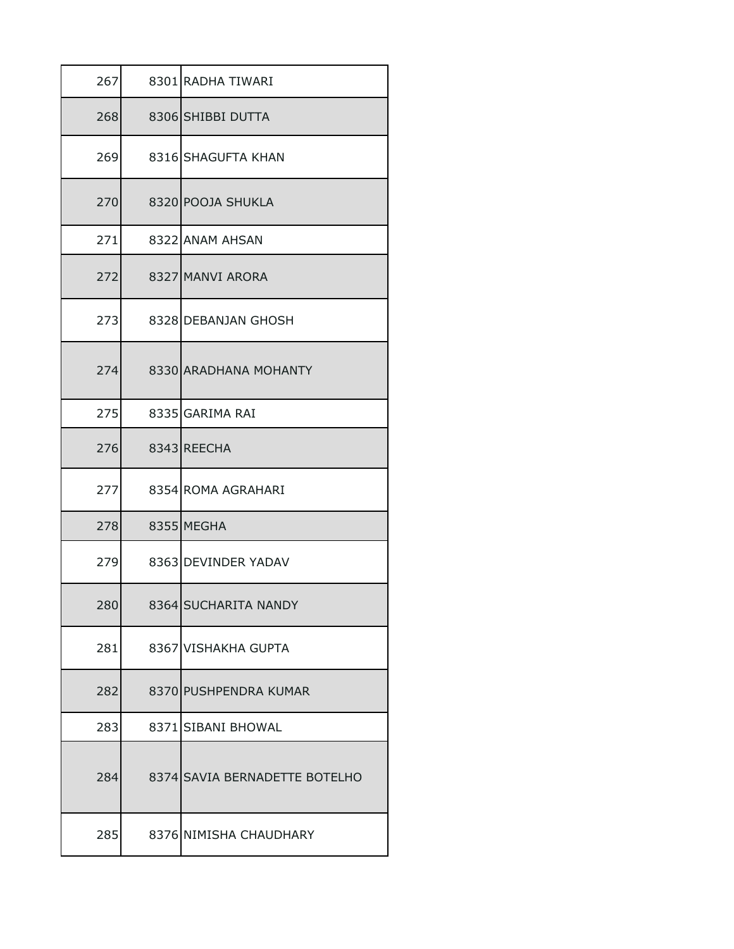| 267 | 8301 RADHA TIWARI             |
|-----|-------------------------------|
| 268 | 8306 SHIBBI DUTTA             |
| 269 | 8316 SHAGUFTA KHAN            |
| 270 | 8320 POOJA SHUKLA             |
| 271 | 8322 ANAM AHSAN               |
| 272 | 8327 MANVI ARORA              |
| 273 | 8328 DEBANJAN GHOSH           |
| 274 | 8330 ARADHANA MOHANTY         |
| 275 | 8335 GARIMA RAI               |
| 276 | 8343 REECHA                   |
| 277 | 8354 ROMA AGRAHARI            |
| 278 | 8355 MEGHA                    |
| 279 | 8363 DEVINDER YADAV           |
| 280 | 8364 SUCHARITA NANDY          |
| 281 | 8367 VISHAKHA GUPTA           |
| 282 | 8370 PUSHPENDRA KUMAR         |
| 283 | 8371 SIBANI BHOWAL            |
| 284 | 8374 SAVIA BERNADETTE BOTELHO |
| 285 | 8376 NIMISHA CHAUDHARY        |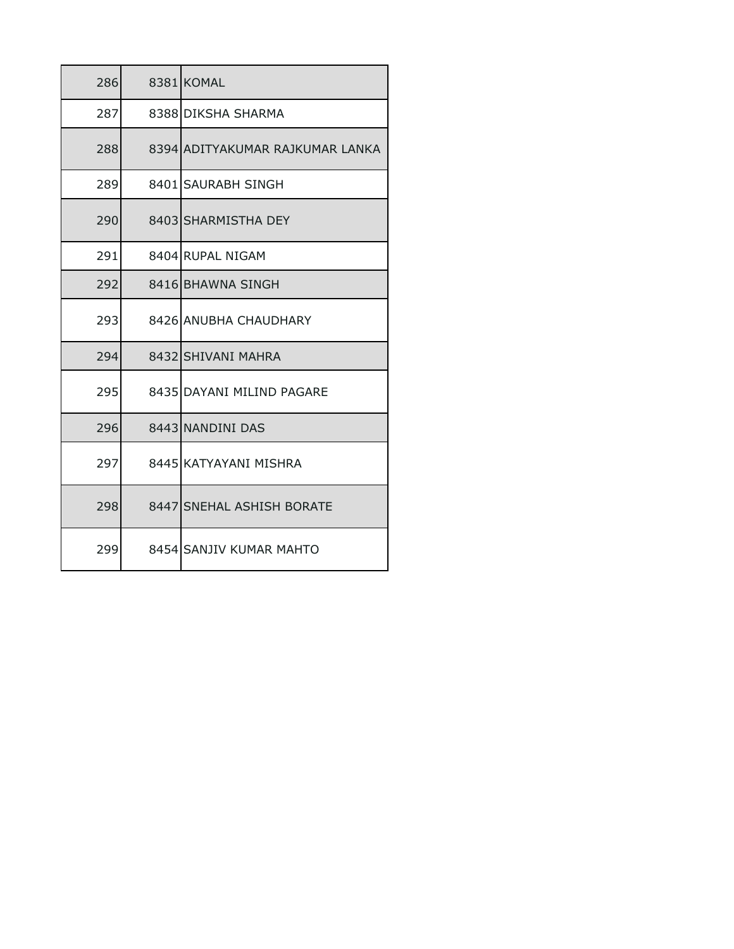| 286 | 8381 KOMAL                      |
|-----|---------------------------------|
| 287 | 8388 DIKSHA SHARMA              |
| 288 | 8394 ADITYAKUMAR RAJKUMAR LANKA |
| 289 | 8401 SAURABH SINGH              |
| 290 | 8403 SHARMISTHA DEY             |
| 291 | 8404 RUPAL NIGAM                |
| 292 | 8416 BHAWNA SINGH               |
| 293 | 8426 ANUBHA CHAUDHARY           |
| 294 | 8432 SHIVANI MAHRA              |
| 295 | 8435 DAYANI MILIND PAGARE       |
| 296 | 8443 NANDINI DAS                |
| 297 | 8445 KATYAYANI MISHRA           |
| 298 | 8447 SNEHAL ASHISH BORATE       |
| 299 | 8454 SANJIV KUMAR MAHTO         |